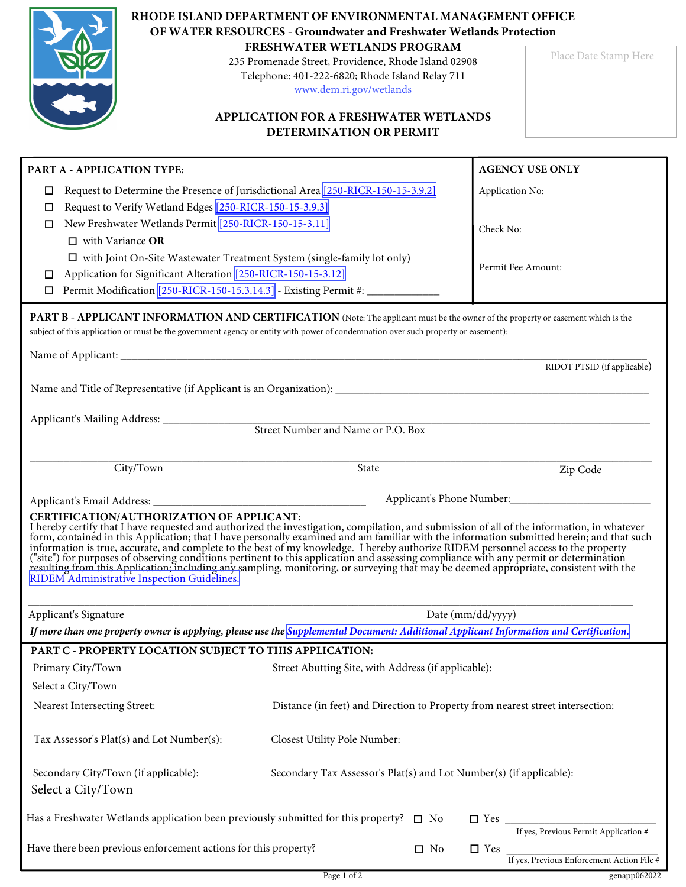|                                                                                                                                                                                                                                                                                                                                                                                                                                                                                                                                                                                                                                                                                                                                                              | RHODE ISLAND DEPARTMENT OF ENVIRONMENTAL MANAGEMENT OFFICE<br>OF WATER RESOURCES - Groundwater and Freshwater Wetlands Protection                                 |                                                                     |                                            |  |  |  |  |
|--------------------------------------------------------------------------------------------------------------------------------------------------------------------------------------------------------------------------------------------------------------------------------------------------------------------------------------------------------------------------------------------------------------------------------------------------------------------------------------------------------------------------------------------------------------------------------------------------------------------------------------------------------------------------------------------------------------------------------------------------------------|-------------------------------------------------------------------------------------------------------------------------------------------------------------------|---------------------------------------------------------------------|--------------------------------------------|--|--|--|--|
|                                                                                                                                                                                                                                                                                                                                                                                                                                                                                                                                                                                                                                                                                                                                                              | FRESHWATER WETLANDS PROGRAM<br>235 Promenade Street, Providence, Rhode Island 02908<br>Telephone: 401-222-6820; Rhode Island Relay 711<br>www.dem.ri.gov/wetlands |                                                                     |                                            |  |  |  |  |
|                                                                                                                                                                                                                                                                                                                                                                                                                                                                                                                                                                                                                                                                                                                                                              | <b>APPLICATION FOR A FRESHWATER WETLANDS</b><br>DETERMINATION OR PERMIT                                                                                           |                                                                     |                                            |  |  |  |  |
| PART A - APPLICATION TYPE:                                                                                                                                                                                                                                                                                                                                                                                                                                                                                                                                                                                                                                                                                                                                   |                                                                                                                                                                   |                                                                     | <b>AGENCY USE ONLY</b>                     |  |  |  |  |
| □                                                                                                                                                                                                                                                                                                                                                                                                                                                                                                                                                                                                                                                                                                                                                            | Request to Determine the Presence of Jurisdictional Area [250-RICR-150-15-3.9.2]                                                                                  | Application No:                                                     |                                            |  |  |  |  |
| Request to Verify Wetland Edges [250-RICR-150-15-3.9.3]<br>⊔                                                                                                                                                                                                                                                                                                                                                                                                                                                                                                                                                                                                                                                                                                 |                                                                                                                                                                   |                                                                     |                                            |  |  |  |  |
| New Freshwater Wetlands Permit [250-RICR-150-15-3.11]<br>□                                                                                                                                                                                                                                                                                                                                                                                                                                                                                                                                                                                                                                                                                                   |                                                                                                                                                                   | Check No:                                                           |                                            |  |  |  |  |
| $\Box$ with Variance OR<br>$\Box$ with Joint On-Site Wastewater Treatment System (single-family lot only)                                                                                                                                                                                                                                                                                                                                                                                                                                                                                                                                                                                                                                                    |                                                                                                                                                                   |                                                                     |                                            |  |  |  |  |
| Application for Significant Alteration [250-RICR-150-15-3.12]<br>□                                                                                                                                                                                                                                                                                                                                                                                                                                                                                                                                                                                                                                                                                           |                                                                                                                                                                   | Permit Fee Amount:                                                  |                                            |  |  |  |  |
| □                                                                                                                                                                                                                                                                                                                                                                                                                                                                                                                                                                                                                                                                                                                                                            | Permit Modification [250-RICR-150-15.3.14.3] - Existing Permit #:                                                                                                 |                                                                     |                                            |  |  |  |  |
| <b>PART B - APPLICANT INFORMATION AND CERTIFICATION</b> (Note: The applicant must be the owner of the property or easement which is the<br>subject of this application or must be the government agency or entity with power of condemnation over such property or easement):                                                                                                                                                                                                                                                                                                                                                                                                                                                                                |                                                                                                                                                                   |                                                                     |                                            |  |  |  |  |
|                                                                                                                                                                                                                                                                                                                                                                                                                                                                                                                                                                                                                                                                                                                                                              |                                                                                                                                                                   |                                                                     | RIDOT PTSID (if applicable)                |  |  |  |  |
|                                                                                                                                                                                                                                                                                                                                                                                                                                                                                                                                                                                                                                                                                                                                                              |                                                                                                                                                                   |                                                                     |                                            |  |  |  |  |
|                                                                                                                                                                                                                                                                                                                                                                                                                                                                                                                                                                                                                                                                                                                                                              |                                                                                                                                                                   |                                                                     |                                            |  |  |  |  |
|                                                                                                                                                                                                                                                                                                                                                                                                                                                                                                                                                                                                                                                                                                                                                              | Street Number and Name or P.O. Box                                                                                                                                |                                                                     |                                            |  |  |  |  |
|                                                                                                                                                                                                                                                                                                                                                                                                                                                                                                                                                                                                                                                                                                                                                              |                                                                                                                                                                   |                                                                     |                                            |  |  |  |  |
| City/Town                                                                                                                                                                                                                                                                                                                                                                                                                                                                                                                                                                                                                                                                                                                                                    | State                                                                                                                                                             |                                                                     | Zip Code                                   |  |  |  |  |
|                                                                                                                                                                                                                                                                                                                                                                                                                                                                                                                                                                                                                                                                                                                                                              |                                                                                                                                                                   |                                                                     | Applicant's Phone Number:                  |  |  |  |  |
| CERTIFICATION/AUTHORIZATION OF APPLICANT:<br>I hereby certify that I have requested and authorized the investigation, compilation, and submission of all of the information, in whatever<br>form, contained in this Application; that I have personally examined and am familiar with the information submitted herein; and that such<br>information is true, accurate, and complete to the best of my knowledge. I hereby authorize RIDEM personnel access to the property<br>("site") for purposes of observing conditions pertinent to this application and assessing compliance with any permit or determination resulting from this Application; including any sampling, monitoring, or surveying that m<br>RIDEM Administrative Inspection Guidelines. |                                                                                                                                                                   |                                                                     |                                            |  |  |  |  |
| Applicant's Signature                                                                                                                                                                                                                                                                                                                                                                                                                                                                                                                                                                                                                                                                                                                                        |                                                                                                                                                                   | Date (mm/dd/yyyy)                                                   |                                            |  |  |  |  |
| If more than one property owner is applying, please use the Supplemental Document: Additional Applicant Information and Certification.                                                                                                                                                                                                                                                                                                                                                                                                                                                                                                                                                                                                                       |                                                                                                                                                                   |                                                                     |                                            |  |  |  |  |
| PART C - PROPERTY LOCATION SUBJECT TO THIS APPLICATION:                                                                                                                                                                                                                                                                                                                                                                                                                                                                                                                                                                                                                                                                                                      |                                                                                                                                                                   |                                                                     |                                            |  |  |  |  |
| Primary City/Town                                                                                                                                                                                                                                                                                                                                                                                                                                                                                                                                                                                                                                                                                                                                            | Street Abutting Site, with Address (if applicable):                                                                                                               |                                                                     |                                            |  |  |  |  |
| Select a City/Town                                                                                                                                                                                                                                                                                                                                                                                                                                                                                                                                                                                                                                                                                                                                           |                                                                                                                                                                   |                                                                     |                                            |  |  |  |  |
| Nearest Intersecting Street:                                                                                                                                                                                                                                                                                                                                                                                                                                                                                                                                                                                                                                                                                                                                 | Distance (in feet) and Direction to Property from nearest street intersection:                                                                                    |                                                                     |                                            |  |  |  |  |
| Tax Assessor's Plat(s) and Lot Number(s):                                                                                                                                                                                                                                                                                                                                                                                                                                                                                                                                                                                                                                                                                                                    | Closest Utility Pole Number:                                                                                                                                      |                                                                     |                                            |  |  |  |  |
| Secondary City/Town (if applicable):<br>Select a City/Town                                                                                                                                                                                                                                                                                                                                                                                                                                                                                                                                                                                                                                                                                                   |                                                                                                                                                                   | Secondary Tax Assessor's Plat(s) and Lot Number(s) (if applicable): |                                            |  |  |  |  |
| Has a Freshwater Wetlands application been previously submitted for this property? $\square$ No                                                                                                                                                                                                                                                                                                                                                                                                                                                                                                                                                                                                                                                              |                                                                                                                                                                   |                                                                     | If yes, Previous Permit Application #      |  |  |  |  |
| Have there been previous enforcement actions for this property?                                                                                                                                                                                                                                                                                                                                                                                                                                                                                                                                                                                                                                                                                              | $\square$ No                                                                                                                                                      | $\Box$ Yes                                                          | If yes, Previous Enforcement Action File # |  |  |  |  |